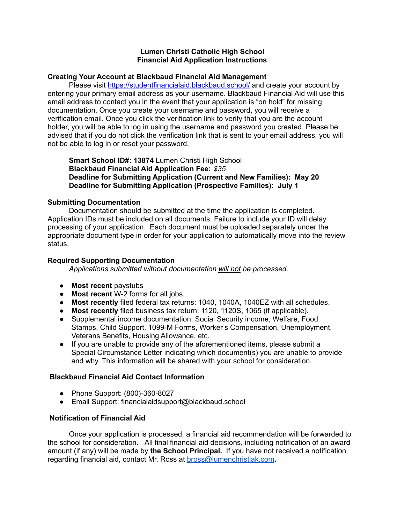## **Lumen Christi Catholic High School Financial Aid Application Instructions**

#### **Creating Your Account at Blackbaud Financial Aid Management**

Please visit [https://studentfinancialaid.blackbaud.school/](http://www.smartaidforparents.com/) and create your account by entering your primary email address as your username. Blackbaud Financial Aid will use this email address to contact you in the event that your application is "on hold" for missing documentation. Once you create your username and password, you will receive a verification email. Once you click the verification link to verify that you are the account holder, you will be able to log in using the username and password you created. Please be advised that if you do not click the verification link that is sent to your email address, you will not be able to log in or reset your password.

**Smart School ID#: 13874** Lumen Christi High School **Blackbaud Financial Aid Application Fee:** *\$35* **Deadline for Submitting Application (Current and New Families): May 20 Deadline for Submitting Application (Prospective Families): July 1**

## **Submitting Documentation**

Documentation should be submitted at the time the application is completed. Application IDs must be included on all documents. Failure to include your ID will delay processing of your application. Each document must be uploaded separately under the appropriate document type in order for your application to automatically move into the review status.

## **Required Supporting Documentation**

*Applications submitted without documentation will not be processed.*

- **Most recent** paystubs
- **Most recent** W-2 forms for all jobs.
- **Most recently** filed federal tax returns: 1040, 1040A, 1040EZ with all schedules.
- **Most recently** filed business tax return: 1120, 1120S, 1065 (if applicable).
- Supplemental income documentation: Social Security income, Welfare, Food Stamps, Child Support, 1099-M Forms, Worker's Compensation, Unemployment, Veterans Benefits, Housing Allowance, etc.
- If you are unable to provide any of the aforementioned items, please submit a Special Circumstance Letter indicating which document(s) you are unable to provide and why. This information will be shared with your school for consideration.

# **Blackbaud Financial Aid Contact Information**

- Phone Support: (800)-360-8027
- Email Support: financialaidsupport@blackbaud.school

# **Notification of Financial Aid**

Once your application is processed, a financial aid recommendation will be forwarded to the school for consideration**.** All final financial aid decisions, including notification of an award amount (if any) will be made by **the School Principal.** If you have not received a notification regarding financial aid, contact Mr. Ross at [bross@lumenchristiak.com](mailto:bross@lumenchristiak.com)**.**